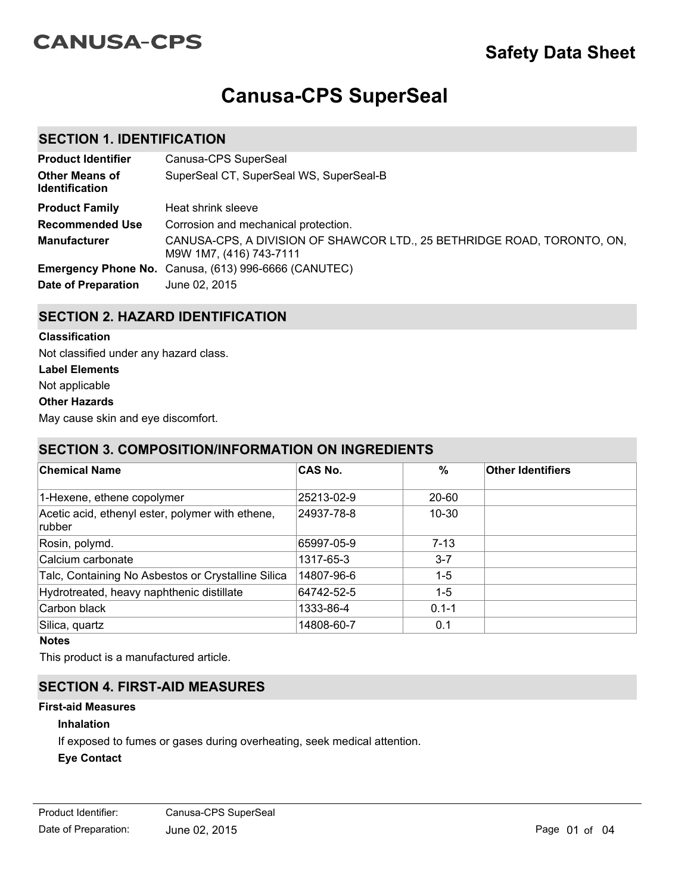# **CANUSA-CPS**

# **Canusa-CPS SuperSeal**

## **SECTION 1. IDENTIFICATION**

| <b>Product Identifier</b>                      | Canusa-CPS SuperSeal                                                                               |
|------------------------------------------------|----------------------------------------------------------------------------------------------------|
| <b>Other Means of</b><br><b>Identification</b> | SuperSeal CT, SuperSeal WS, SuperSeal-B                                                            |
| <b>Product Family</b>                          | Heat shrink sleeve                                                                                 |
| <b>Recommended Use</b>                         | Corrosion and mechanical protection.                                                               |
| <b>Manufacturer</b>                            | CANUSA-CPS, A DIVISION OF SHAWCOR LTD., 25 BETHRIDGE ROAD, TORONTO, ON,<br>M9W 1M7, (416) 743-7111 |
|                                                | <b>Emergency Phone No.</b> Canusa, (613) 996-6666 (CANUTEC)                                        |
| Date of Preparation                            | June 02, 2015                                                                                      |

# **SECTION 2. HAZARD IDENTIFICATION**

#### **Classification**

Not classified under any hazard class.

**Label Elements**

Not applicable

**Other Hazards**

May cause skin and eye discomfort.

## **SECTION 3. COMPOSITION/INFORMATION ON INGREDIENTS**

| <b>Chemical Name</b>                                       | CAS No.    | $\frac{9}{6}$ | <b>Other Identifiers</b> |
|------------------------------------------------------------|------------|---------------|--------------------------|
|                                                            |            |               |                          |
| 1-Hexene, ethene copolymer                                 | 25213-02-9 | 20-60         |                          |
| Acetic acid, ethenyl ester, polymer with ethene,<br>rubber | 24937-78-8 | $10-30$       |                          |
| Rosin, polymd.                                             | 65997-05-9 | $7 - 13$      |                          |
| Calcium carbonate                                          | 1317-65-3  | $3 - 7$       |                          |
| Talc, Containing No Asbestos or Crystalline Silica         | 14807-96-6 | $1 - 5$       |                          |
| Hydrotreated, heavy naphthenic distillate                  | 64742-52-5 | $1-5$         |                          |
| Carbon black                                               | 1333-86-4  | $0.1 - 1$     |                          |
| Silica, quartz                                             | 14808-60-7 | 0.1           |                          |

#### **Notes**

This product is a manufactured article.

## **SECTION 4. FIRST-AID MEASURES**

## **First-aid Measures**

#### **Inhalation**

If exposed to fumes or gases during overheating, seek medical attention.

## **Eye Contact**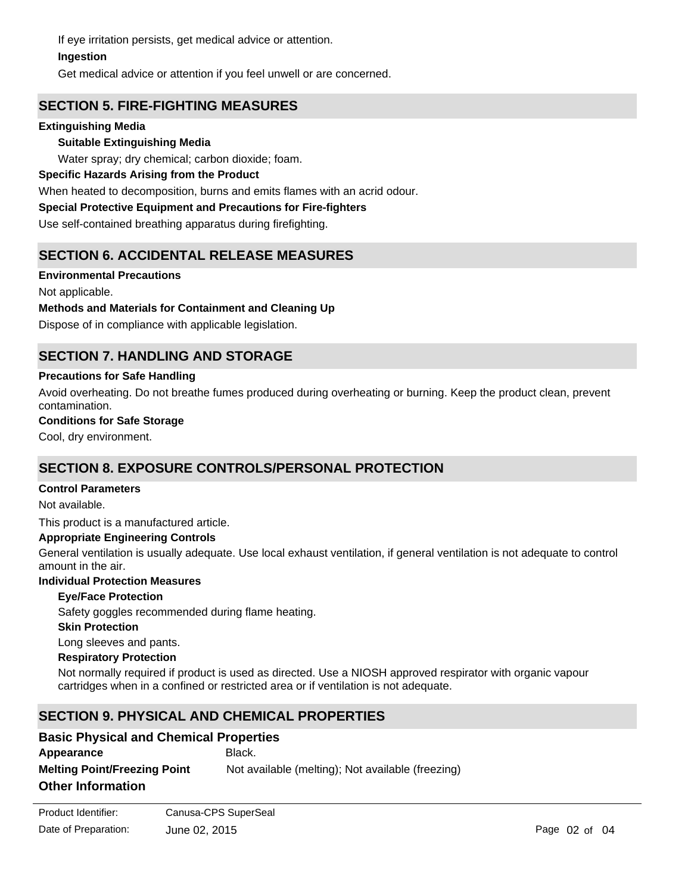If eye irritation persists, get medical advice or attention.

#### **Ingestion**

Get medical advice or attention if you feel unwell or are concerned.

# **SECTION 5. FIRE-FIGHTING MEASURES**

## **Extinguishing Media**

## **Suitable Extinguishing Media**

Water spray; dry chemical; carbon dioxide; foam.

## **Specific Hazards Arising from the Product**

When heated to decomposition, burns and emits flames with an acrid odour.

#### **Special Protective Equipment and Precautions for Fire-fighters**

Use self-contained breathing apparatus during firefighting.

# **SECTION 6. ACCIDENTAL RELEASE MEASURES**

**Environmental Precautions** Not applicable. **Methods and Materials for Containment and Cleaning Up** Dispose of in compliance with applicable legislation.

# **SECTION 7. HANDLING AND STORAGE**

## **Precautions for Safe Handling**

Avoid overheating. Do not breathe fumes produced during overheating or burning. Keep the product clean, prevent contamination.

#### **Conditions for Safe Storage**

Cool, dry environment.

# **SECTION 8. EXPOSURE CONTROLS/PERSONAL PROTECTION**

#### **Control Parameters**

Not available.

This product is a manufactured article.

#### **Appropriate Engineering Controls**

General ventilation is usually adequate. Use local exhaust ventilation, if general ventilation is not adequate to control amount in the air.

#### **Individual Protection Measures**

## **Eye/Face Protection**

Safety goggles recommended during flame heating.

#### **Skin Protection**

Long sleeves and pants.

#### **Respiratory Protection**

Not normally required if product is used as directed. Use a NIOSH approved respirator with organic vapour cartridges when in a confined or restricted area or if ventilation is not adequate.

# **SECTION 9. PHYSICAL AND CHEMICAL PROPERTIES**

#### **Basic Physical and Chemical Properties**

| Appearance                          | Black.                                            |
|-------------------------------------|---------------------------------------------------|
| <b>Melting Point/Freezing Point</b> | Not available (melting); Not available (freezing) |
| <b>Other Information</b>            |                                                   |
|                                     |                                                   |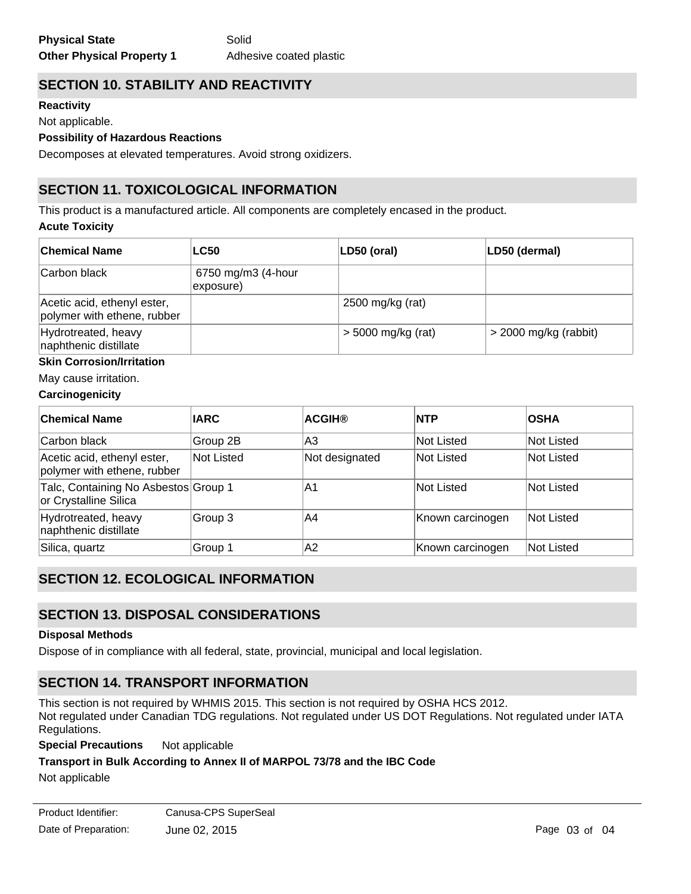# **SECTION 10. STABILITY AND REACTIVITY**

**Reactivity**

Not applicable.

#### **Possibility of Hazardous Reactions**

Decomposes at elevated temperatures. Avoid strong oxidizers.

## **SECTION 11. TOXICOLOGICAL INFORMATION**

This product is a manufactured article. All components are completely encased in the product.

#### **Acute Toxicity**

| ∣Chemical Name                                             | <b>LC50</b>                     | LD50 (oral)          | LD50 (dermal)           |
|------------------------------------------------------------|---------------------------------|----------------------|-------------------------|
| Carbon black                                               | 6750 mg/m3 (4-hour<br>exposure) |                      |                         |
| Acetic acid, ethenyl ester,<br>polymer with ethene, rubber |                                 | 2500 mg/kg (rat)     |                         |
| Hydrotreated, heavy<br>naphthenic distillate               |                                 | $>$ 5000 mg/kg (rat) | $>$ 2000 mg/kg (rabbit) |

#### **Skin Corrosion/Irritation**

May cause irritation.

#### **Carcinogenicity**

| ∣Chemical Name                                                | <b>IARC</b> | <b>ACGIH®</b>  | <b>INTP</b>      | <b>OSHA</b>       |
|---------------------------------------------------------------|-------------|----------------|------------------|-------------------|
| Carbon black                                                  | Group 2B    | lA3            | Not Listed       | Not Listed        |
| Acetic acid, ethenyl ester,<br>polymer with ethene, rubber    | Not Listed  | Not designated | Not Listed       | Not Listed        |
| Talc, Containing No Asbestos Group 1<br>or Crystalline Silica |             | A1             | Not Listed       | Not Listed        |
| Hydrotreated, heavy<br>naphthenic distillate                  | Group 3     | IA4            | Known carcinogen | <b>Not Listed</b> |
| Silica, quartz                                                | Group 1     | A2             | Known carcinogen | Not Listed        |

# **SECTION 12. ECOLOGICAL INFORMATION**

## **SECTION 13. DISPOSAL CONSIDERATIONS**

#### **Disposal Methods**

Dispose of in compliance with all federal, state, provincial, municipal and local legislation.

## **SECTION 14. TRANSPORT INFORMATION**

This section is not required by WHMIS 2015. This section is not required by OSHA HCS 2012. Not regulated under Canadian TDG regulations. Not regulated under US DOT Regulations. Not regulated under IATA Regulations.

**Special Precautions** Not applicable

## **Transport in Bulk According to Annex II of MARPOL 73/78 and the IBC Code**

Not applicable